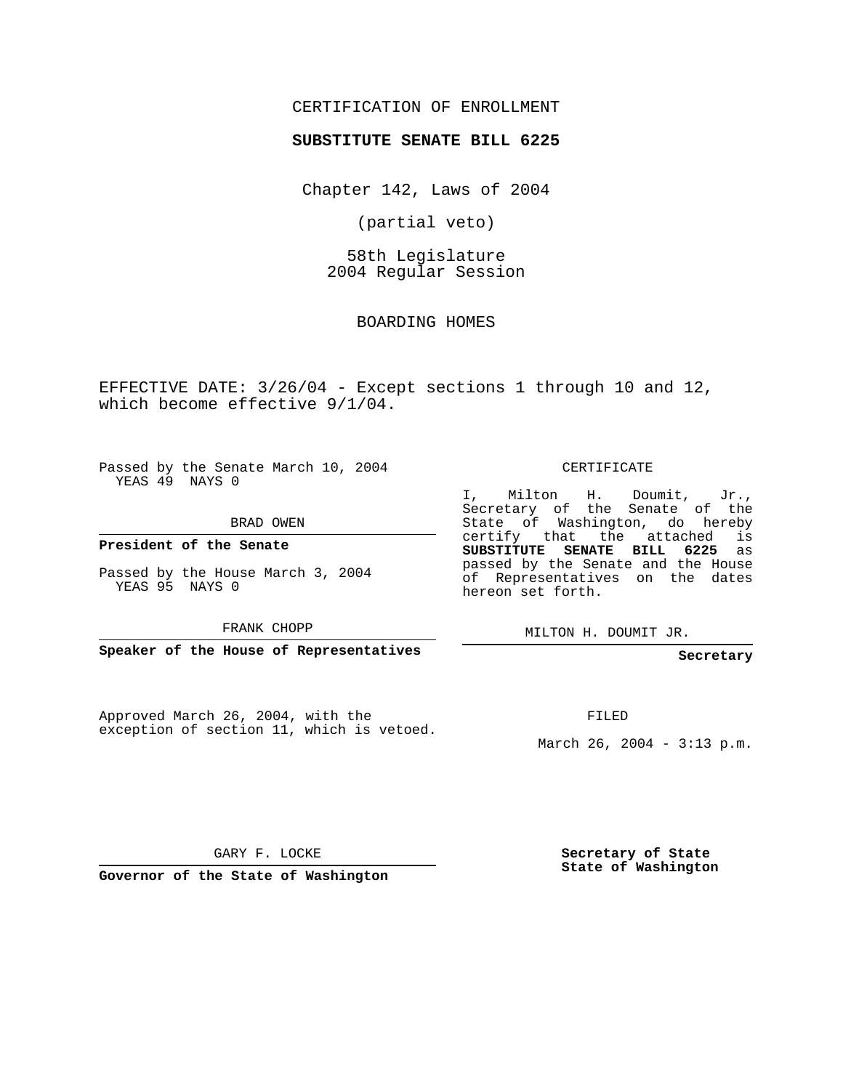### CERTIFICATION OF ENROLLMENT

#### **SUBSTITUTE SENATE BILL 6225**

Chapter 142, Laws of 2004

(partial veto)

58th Legislature 2004 Regular Session

BOARDING HOMES

EFFECTIVE DATE: 3/26/04 - Except sections 1 through 10 and 12, which become effective 9/1/04.

Passed by the Senate March 10, 2004 YEAS 49 NAYS 0

BRAD OWEN

**President of the Senate**

Passed by the House March 3, 2004 YEAS 95 NAYS 0

FRANK CHOPP

**Speaker of the House of Representatives**

Approved March 26, 2004, with the exception of section 11, which is vetoed. CERTIFICATE

I, Milton H. Doumit, Jr., Secretary of the Senate of the State of Washington, do hereby certify that the attached is **SUBSTITUTE SENATE BILL 6225** as passed by the Senate and the House of Representatives on the dates hereon set forth.

MILTON H. DOUMIT JR.

**Secretary**

FILED

March 26, 2004 - 3:13 p.m.

GARY F. LOCKE

**Governor of the State of Washington**

**Secretary of State State of Washington**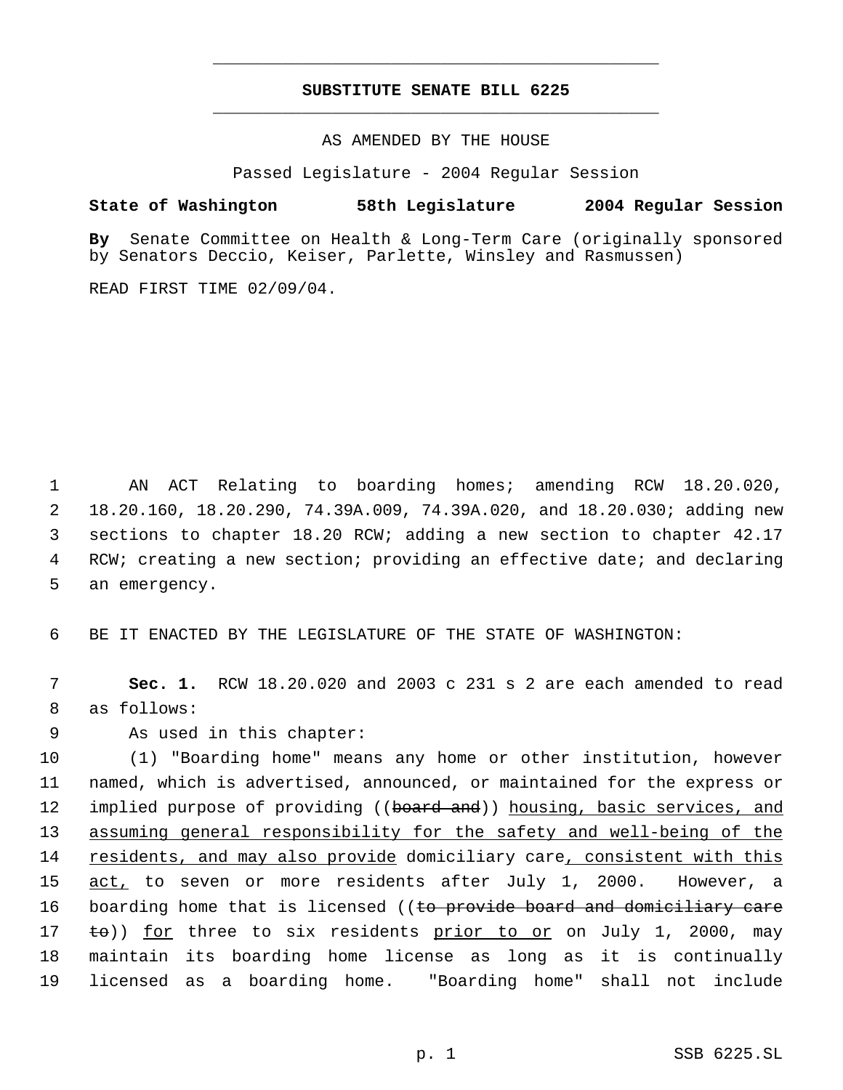### **SUBSTITUTE SENATE BILL 6225** \_\_\_\_\_\_\_\_\_\_\_\_\_\_\_\_\_\_\_\_\_\_\_\_\_\_\_\_\_\_\_\_\_\_\_\_\_\_\_\_\_\_\_\_\_

\_\_\_\_\_\_\_\_\_\_\_\_\_\_\_\_\_\_\_\_\_\_\_\_\_\_\_\_\_\_\_\_\_\_\_\_\_\_\_\_\_\_\_\_\_

AS AMENDED BY THE HOUSE

Passed Legislature - 2004 Regular Session

#### **State of Washington 58th Legislature 2004 Regular Session**

**By** Senate Committee on Health & Long-Term Care (originally sponsored by Senators Deccio, Keiser, Parlette, Winsley and Rasmussen)

READ FIRST TIME 02/09/04.

 AN ACT Relating to boarding homes; amending RCW 18.20.020, 18.20.160, 18.20.290, 74.39A.009, 74.39A.020, and 18.20.030; adding new sections to chapter 18.20 RCW; adding a new section to chapter 42.17 RCW; creating a new section; providing an effective date; and declaring an emergency.

6 BE IT ENACTED BY THE LEGISLATURE OF THE STATE OF WASHINGTON:

 7 **Sec. 1.** RCW 18.20.020 and 2003 c 231 s 2 are each amended to read 8 as follows:

9 As used in this chapter:

10 (1) "Boarding home" means any home or other institution, however 11 named, which is advertised, announced, or maintained for the express or 12 implied purpose of providing ((board and)) housing, basic services, and 13 assuming general responsibility for the safety and well-being of the 14 residents, and may also provide domiciliary care, consistent with this 15 act, to seven or more residents after July 1, 2000. However, a 16 boarding home that is licensed ((to provide board and domiciliary care 17 to)) for three to six residents prior to or on July 1, 2000, may 18 maintain its boarding home license as long as it is continually 19 licensed as a boarding home. "Boarding home" shall not include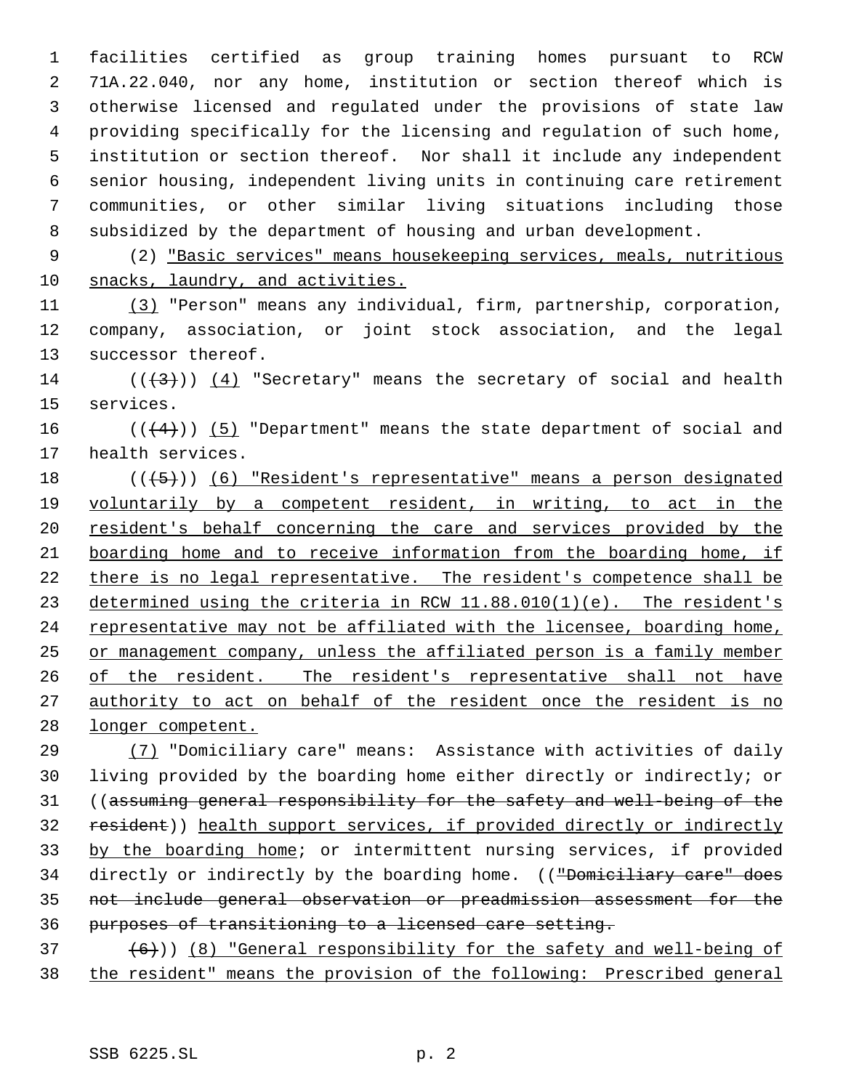facilities certified as group training homes pursuant to RCW 71A.22.040, nor any home, institution or section thereof which is otherwise licensed and regulated under the provisions of state law providing specifically for the licensing and regulation of such home, institution or section thereof. Nor shall it include any independent senior housing, independent living units in continuing care retirement communities, or other similar living situations including those subsidized by the department of housing and urban development.

 (2) "Basic services" means housekeeping services, meals, nutritious 10 snacks, laundry, and activities.

 (3) "Person" means any individual, firm, partnership, corporation, company, association, or joint stock association, and the legal successor thereof.

14  $((+3))$   $(4)$  "Secretary" means the secretary of social and health services.

16  $((+4))$  (5) "Department" means the state department of social and health services.

18 (((5)) (6) "Resident's representative" means a person designated voluntarily by a competent resident, in writing, to act in the 20 resident's behalf concerning the care and services provided by the boarding home and to receive information from the boarding home, if 22 there is no legal representative. The resident's competence shall be 23 determined using the criteria in RCW 11.88.010(1)(e). The resident's 24 representative may not be affiliated with the licensee, boarding home, or management company, unless the affiliated person is a family member 26 of the resident. The resident's representative shall not have 27 authority to act on behalf of the resident once the resident is no longer competent.

 (7) "Domiciliary care" means: Assistance with activities of daily living provided by the boarding home either directly or indirectly; or ((assuming general responsibility for the safety and well-being of the 32 resident)) health support services, if provided directly or indirectly 33 by the boarding home; or intermittent nursing services, if provided 34 directly or indirectly by the boarding home. (("Domiciliary care" does not include general observation or preadmission assessment for the purposes of transitioning to a licensed care setting.

 $(6)$ )) (8) "General responsibility for the safety and well-being of the resident" means the provision of the following: Prescribed general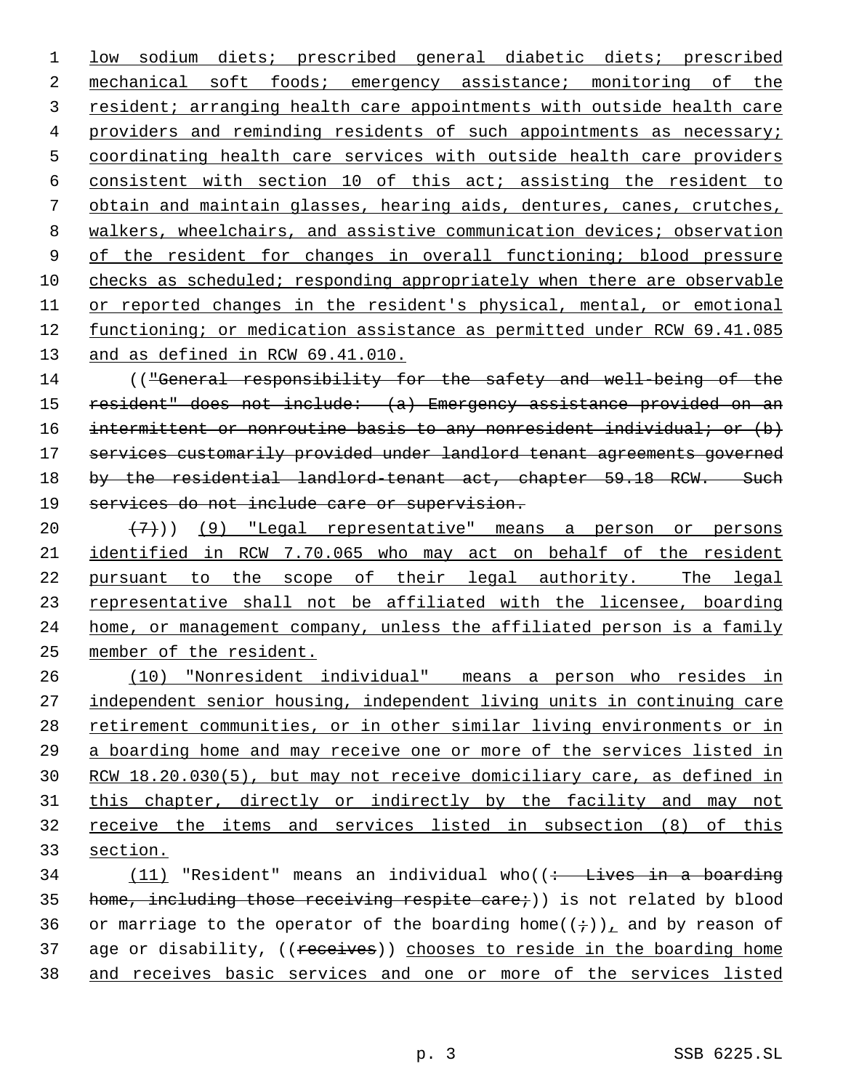low sodium diets; prescribed general diabetic diets; prescribed 2 mechanical soft foods; emergency assistance; monitoring of the resident; arranging health care appointments with outside health care providers and reminding residents of such appointments as necessary; coordinating health care services with outside health care providers consistent with section 10 of this act; assisting the resident to obtain and maintain glasses, hearing aids, dentures, canes, crutches, walkers, wheelchairs, and assistive communication devices; observation 9 of the resident for changes in overall functioning; blood pressure checks as scheduled; responding appropriately when there are observable or reported changes in the resident's physical, mental, or emotional functioning; or medication assistance as permitted under RCW 69.41.085 and as defined in RCW 69.41.010.

 (("General responsibility for the safety and well-being of the 15 resident" does not include: (a) Emergency assistance provided on an 16 intermittent or nonroutine basis to any nonresident individual; or (b) services customarily provided under landlord tenant agreements governed 18 by the residential landlord-tenant act, chapter 59.18 RCW. Such services do not include care or supervision.

 $(7)$ )) (9) "Legal representative" means a person or persons identified in RCW 7.70.065 who may act on behalf of the resident pursuant to the scope of their legal authority. The legal 23 representative shall not be affiliated with the licensee, boarding home, or management company, unless the affiliated person is a family member of the resident.

 (10) "Nonresident individual" means a person who resides in independent senior housing, independent living units in continuing care 28 retirement communities, or in other similar living environments or in a boarding home and may receive one or more of the services listed in RCW 18.20.030(5), but may not receive domiciliary care, as defined in 31 this chapter, directly or indirectly by the facility and may not receive the items and services listed in subsection (8) of this section.

 (11) "Resident" means an individual who( $\left(\div - \text{Lives in a boarding}\right)$ 35 home, including those receiving respite care;)) is not related by blood 36 or marriage to the operator of the boarding home( $(\div)$ ), and by reason of 37 age or disability, ((receives)) chooses to reside in the boarding home and receives basic services and one or more of the services listed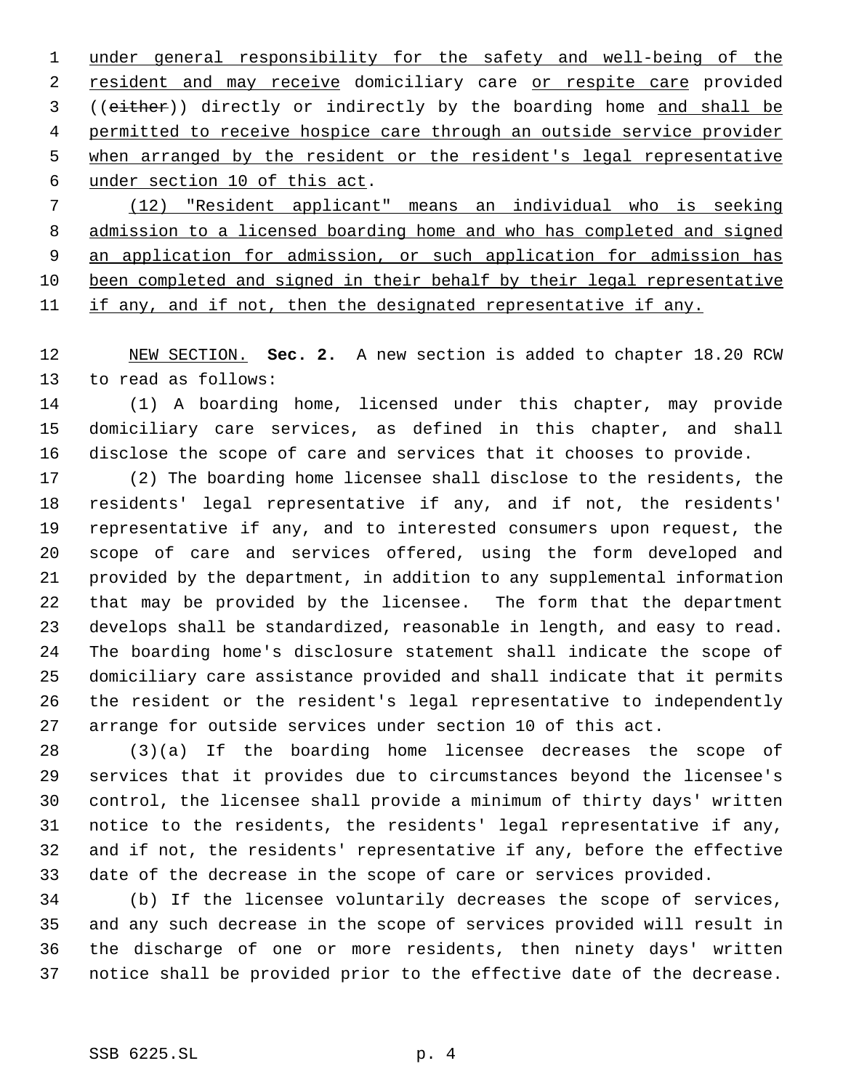1 under general responsibility for the safety and well-being of the 2 resident and may receive domiciliary care or respite care provided 3 ((either)) directly or indirectly by the boarding home and shall be permitted to receive hospice care through an outside service provider when arranged by the resident or the resident's legal representative under section 10 of this act.

 (12) "Resident applicant" means an individual who is seeking admission to a licensed boarding home and who has completed and signed 9 an application for admission, or such application for admission has been completed and signed in their behalf by their legal representative 11 if any, and if not, then the designated representative if any.

 NEW SECTION. **Sec. 2.** A new section is added to chapter 18.20 RCW to read as follows:

 (1) A boarding home, licensed under this chapter, may provide domiciliary care services, as defined in this chapter, and shall disclose the scope of care and services that it chooses to provide.

 (2) The boarding home licensee shall disclose to the residents, the residents' legal representative if any, and if not, the residents' representative if any, and to interested consumers upon request, the scope of care and services offered, using the form developed and provided by the department, in addition to any supplemental information that may be provided by the licensee. The form that the department develops shall be standardized, reasonable in length, and easy to read. The boarding home's disclosure statement shall indicate the scope of domiciliary care assistance provided and shall indicate that it permits the resident or the resident's legal representative to independently arrange for outside services under section 10 of this act.

 (3)(a) If the boarding home licensee decreases the scope of services that it provides due to circumstances beyond the licensee's control, the licensee shall provide a minimum of thirty days' written notice to the residents, the residents' legal representative if any, and if not, the residents' representative if any, before the effective date of the decrease in the scope of care or services provided.

 (b) If the licensee voluntarily decreases the scope of services, and any such decrease in the scope of services provided will result in the discharge of one or more residents, then ninety days' written notice shall be provided prior to the effective date of the decrease.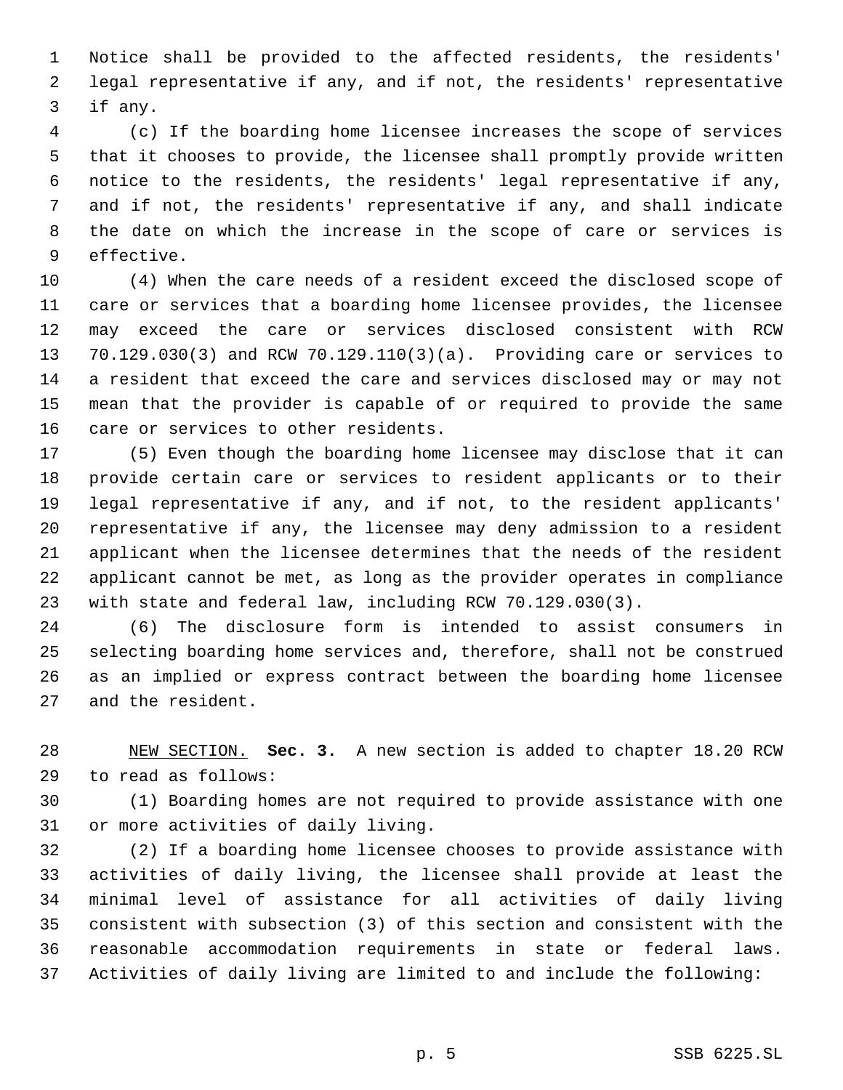Notice shall be provided to the affected residents, the residents' legal representative if any, and if not, the residents' representative if any.

 (c) If the boarding home licensee increases the scope of services that it chooses to provide, the licensee shall promptly provide written notice to the residents, the residents' legal representative if any, and if not, the residents' representative if any, and shall indicate the date on which the increase in the scope of care or services is effective.

 (4) When the care needs of a resident exceed the disclosed scope of care or services that a boarding home licensee provides, the licensee may exceed the care or services disclosed consistent with RCW 70.129.030(3) and RCW 70.129.110(3)(a). Providing care or services to a resident that exceed the care and services disclosed may or may not mean that the provider is capable of or required to provide the same care or services to other residents.

 (5) Even though the boarding home licensee may disclose that it can provide certain care or services to resident applicants or to their legal representative if any, and if not, to the resident applicants' representative if any, the licensee may deny admission to a resident applicant when the licensee determines that the needs of the resident applicant cannot be met, as long as the provider operates in compliance with state and federal law, including RCW 70.129.030(3).

 (6) The disclosure form is intended to assist consumers in selecting boarding home services and, therefore, shall not be construed as an implied or express contract between the boarding home licensee and the resident.

 NEW SECTION. **Sec. 3.** A new section is added to chapter 18.20 RCW to read as follows:

 (1) Boarding homes are not required to provide assistance with one or more activities of daily living.

 (2) If a boarding home licensee chooses to provide assistance with activities of daily living, the licensee shall provide at least the minimal level of assistance for all activities of daily living consistent with subsection (3) of this section and consistent with the reasonable accommodation requirements in state or federal laws. Activities of daily living are limited to and include the following: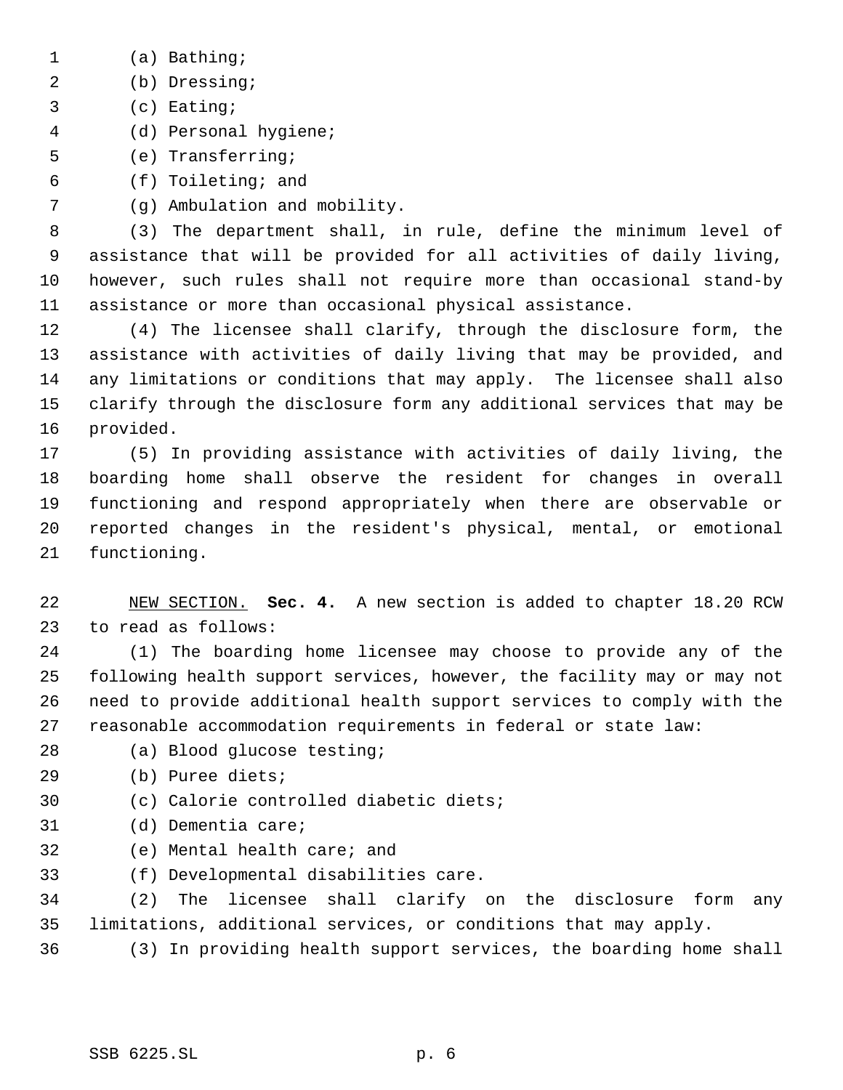- (a) Bathing;
- (b) Dressing;
- (c) Eating;
- (d) Personal hygiene;
- (e) Transferring;
- (f) Toileting; and
- (g) Ambulation and mobility.

 (3) The department shall, in rule, define the minimum level of assistance that will be provided for all activities of daily living, however, such rules shall not require more than occasional stand-by assistance or more than occasional physical assistance.

 (4) The licensee shall clarify, through the disclosure form, the assistance with activities of daily living that may be provided, and any limitations or conditions that may apply. The licensee shall also clarify through the disclosure form any additional services that may be provided.

 (5) In providing assistance with activities of daily living, the boarding home shall observe the resident for changes in overall functioning and respond appropriately when there are observable or reported changes in the resident's physical, mental, or emotional functioning.

 NEW SECTION. **Sec. 4.** A new section is added to chapter 18.20 RCW to read as follows:

 (1) The boarding home licensee may choose to provide any of the following health support services, however, the facility may or may not need to provide additional health support services to comply with the reasonable accommodation requirements in federal or state law:

- (a) Blood glucose testing;
- (b) Puree diets;
- (c) Calorie controlled diabetic diets;
- (d) Dementia care;
- (e) Mental health care; and

(f) Developmental disabilities care.

 (2) The licensee shall clarify on the disclosure form any limitations, additional services, or conditions that may apply.

(3) In providing health support services, the boarding home shall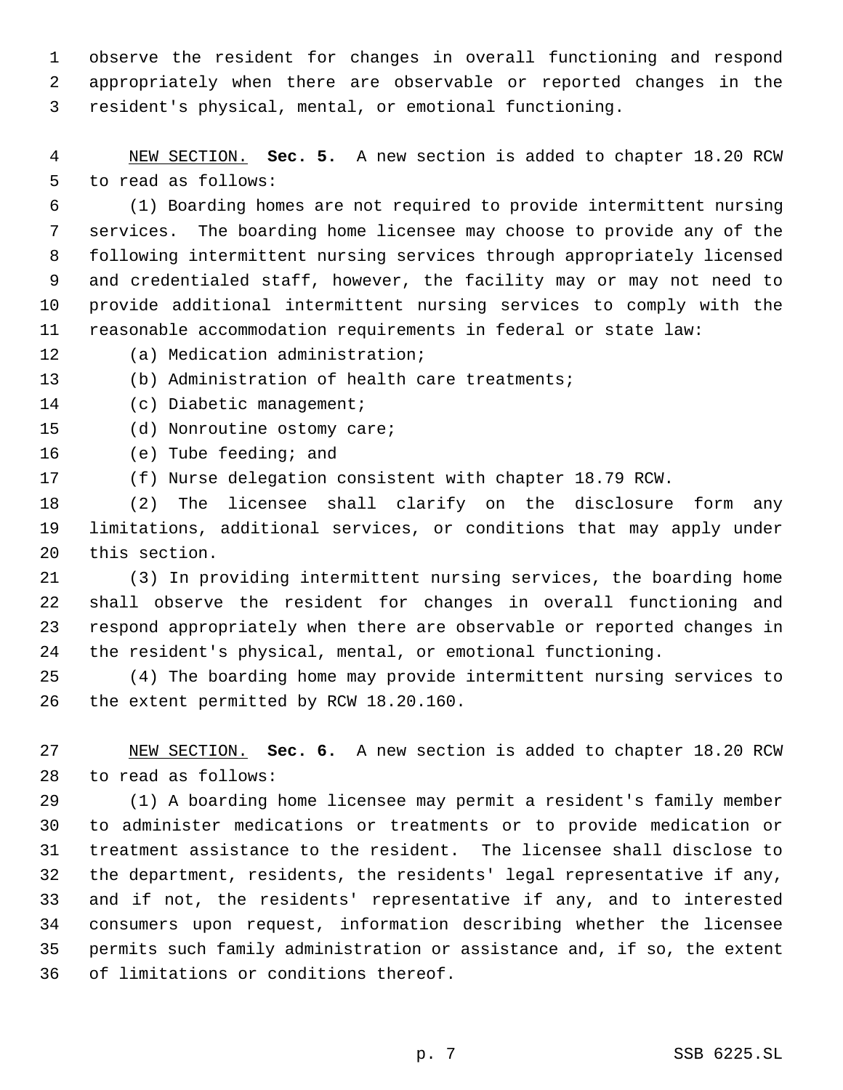observe the resident for changes in overall functioning and respond appropriately when there are observable or reported changes in the resident's physical, mental, or emotional functioning.

 NEW SECTION. **Sec. 5.** A new section is added to chapter 18.20 RCW to read as follows:

 (1) Boarding homes are not required to provide intermittent nursing services. The boarding home licensee may choose to provide any of the following intermittent nursing services through appropriately licensed and credentialed staff, however, the facility may or may not need to provide additional intermittent nursing services to comply with the reasonable accommodation requirements in federal or state law:

(a) Medication administration;

(b) Administration of health care treatments;

14 (c) Diabetic management;

(d) Nonroutine ostomy care;

(e) Tube feeding; and

(f) Nurse delegation consistent with chapter 18.79 RCW.

 (2) The licensee shall clarify on the disclosure form any limitations, additional services, or conditions that may apply under this section.

 (3) In providing intermittent nursing services, the boarding home shall observe the resident for changes in overall functioning and respond appropriately when there are observable or reported changes in the resident's physical, mental, or emotional functioning.

 (4) The boarding home may provide intermittent nursing services to the extent permitted by RCW 18.20.160.

 NEW SECTION. **Sec. 6.** A new section is added to chapter 18.20 RCW to read as follows:

 (1) A boarding home licensee may permit a resident's family member to administer medications or treatments or to provide medication or treatment assistance to the resident. The licensee shall disclose to the department, residents, the residents' legal representative if any, and if not, the residents' representative if any, and to interested consumers upon request, information describing whether the licensee permits such family administration or assistance and, if so, the extent of limitations or conditions thereof.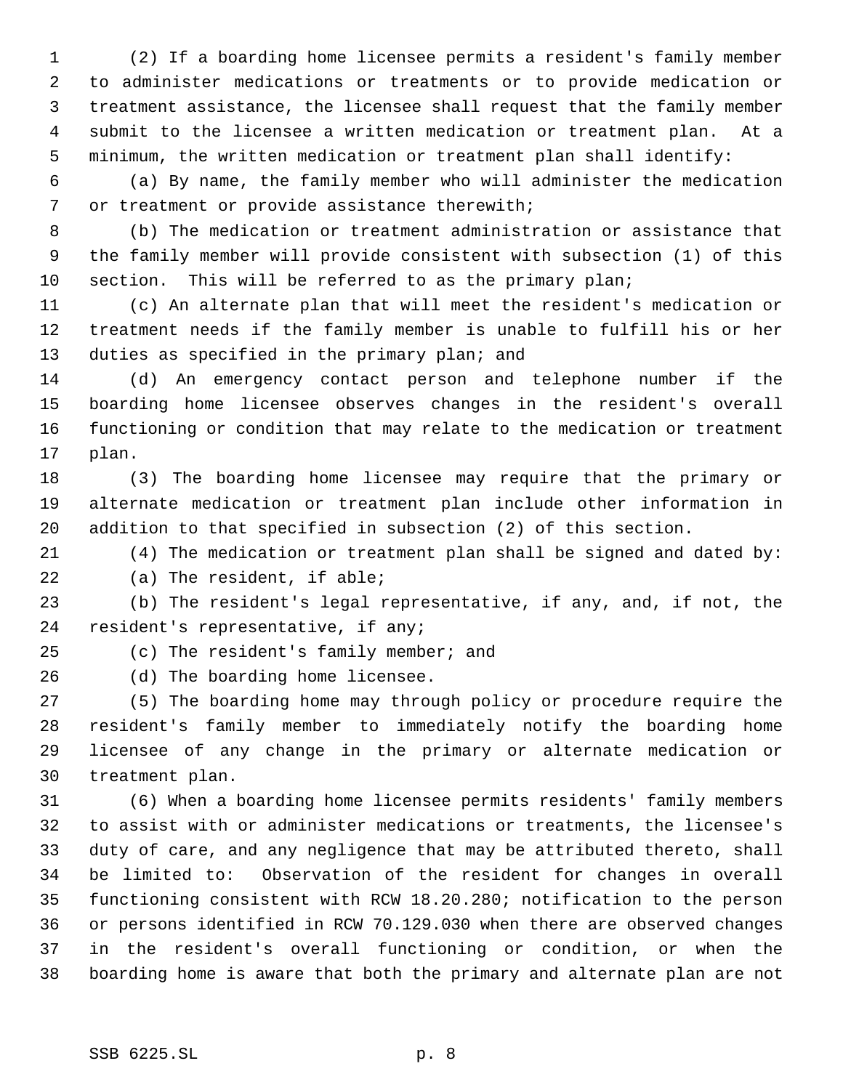(2) If a boarding home licensee permits a resident's family member to administer medications or treatments or to provide medication or treatment assistance, the licensee shall request that the family member submit to the licensee a written medication or treatment plan. At a minimum, the written medication or treatment plan shall identify:

 (a) By name, the family member who will administer the medication or treatment or provide assistance therewith;

 (b) The medication or treatment administration or assistance that the family member will provide consistent with subsection (1) of this section. This will be referred to as the primary plan;

 (c) An alternate plan that will meet the resident's medication or treatment needs if the family member is unable to fulfill his or her 13 duties as specified in the primary plan; and

 (d) An emergency contact person and telephone number if the boarding home licensee observes changes in the resident's overall functioning or condition that may relate to the medication or treatment plan.

 (3) The boarding home licensee may require that the primary or alternate medication or treatment plan include other information in addition to that specified in subsection (2) of this section.

(4) The medication or treatment plan shall be signed and dated by:

(a) The resident, if able;

 (b) The resident's legal representative, if any, and, if not, the resident's representative, if any;

(c) The resident's family member; and

(d) The boarding home licensee.

 (5) The boarding home may through policy or procedure require the resident's family member to immediately notify the boarding home licensee of any change in the primary or alternate medication or treatment plan.

 (6) When a boarding home licensee permits residents' family members to assist with or administer medications or treatments, the licensee's duty of care, and any negligence that may be attributed thereto, shall be limited to: Observation of the resident for changes in overall functioning consistent with RCW 18.20.280; notification to the person or persons identified in RCW 70.129.030 when there are observed changes in the resident's overall functioning or condition, or when the boarding home is aware that both the primary and alternate plan are not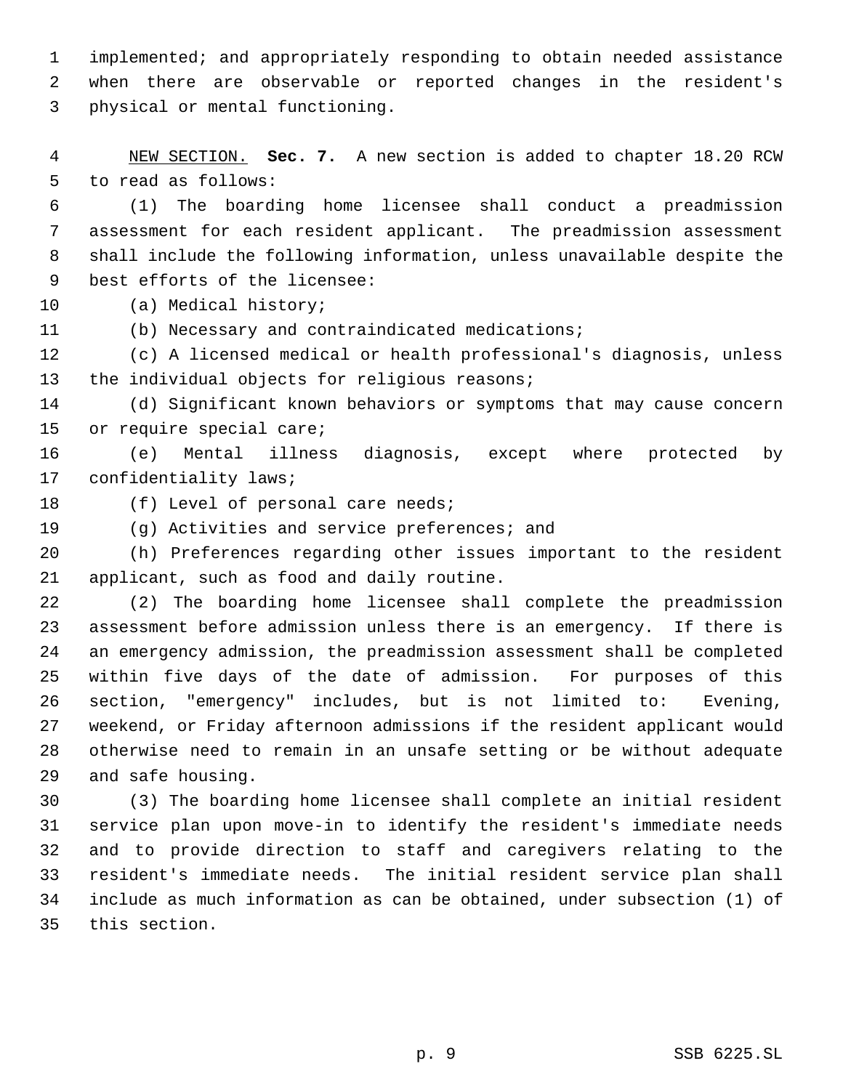implemented; and appropriately responding to obtain needed assistance when there are observable or reported changes in the resident's physical or mental functioning.

 NEW SECTION. **Sec. 7.** A new section is added to chapter 18.20 RCW to read as follows:

 (1) The boarding home licensee shall conduct a preadmission assessment for each resident applicant. The preadmission assessment shall include the following information, unless unavailable despite the best efforts of the licensee:

(a) Medical history;

(b) Necessary and contraindicated medications;

 (c) A licensed medical or health professional's diagnosis, unless 13 the individual objects for religious reasons;

 (d) Significant known behaviors or symptoms that may cause concern or require special care;

 (e) Mental illness diagnosis, except where protected by confidentiality laws;

18 (f) Level of personal care needs;

(g) Activities and service preferences; and

 (h) Preferences regarding other issues important to the resident applicant, such as food and daily routine.

 (2) The boarding home licensee shall complete the preadmission assessment before admission unless there is an emergency. If there is an emergency admission, the preadmission assessment shall be completed within five days of the date of admission. For purposes of this section, "emergency" includes, but is not limited to: Evening, weekend, or Friday afternoon admissions if the resident applicant would otherwise need to remain in an unsafe setting or be without adequate and safe housing.

 (3) The boarding home licensee shall complete an initial resident service plan upon move-in to identify the resident's immediate needs and to provide direction to staff and caregivers relating to the resident's immediate needs. The initial resident service plan shall include as much information as can be obtained, under subsection (1) of this section.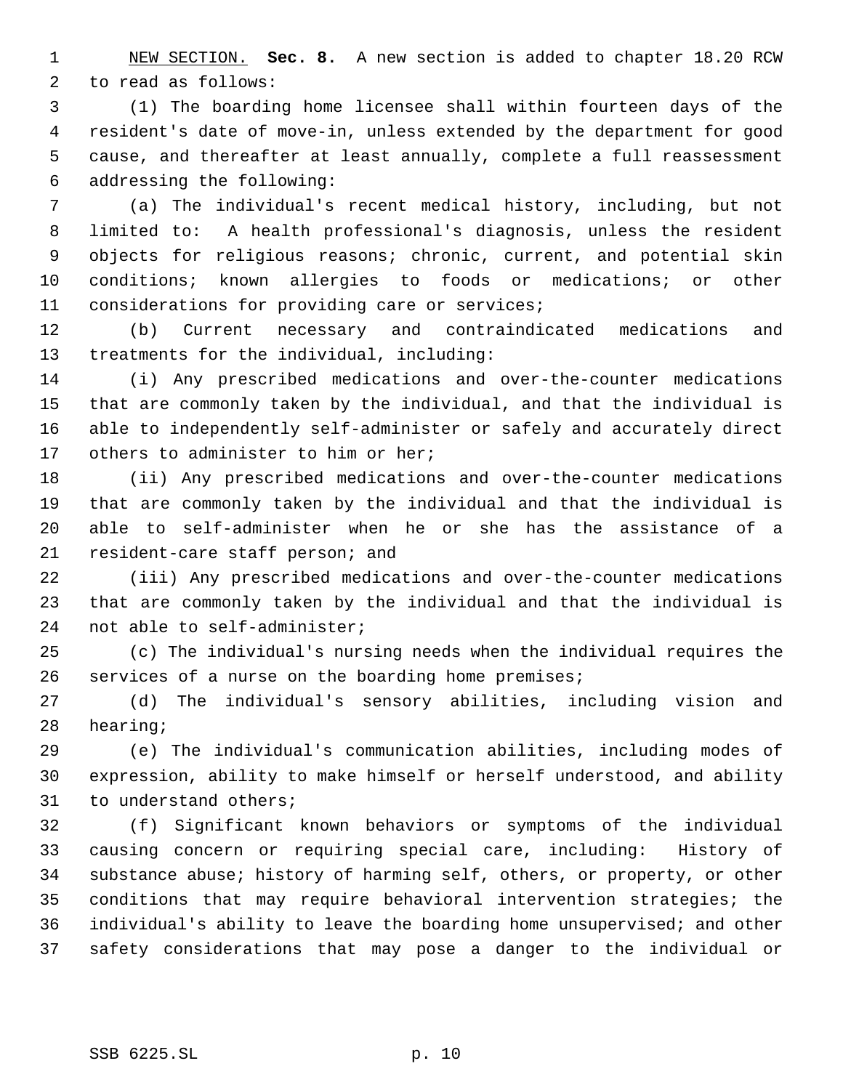NEW SECTION. **Sec. 8.** A new section is added to chapter 18.20 RCW to read as follows:

 (1) The boarding home licensee shall within fourteen days of the resident's date of move-in, unless extended by the department for good cause, and thereafter at least annually, complete a full reassessment addressing the following:

 (a) The individual's recent medical history, including, but not limited to: A health professional's diagnosis, unless the resident objects for religious reasons; chronic, current, and potential skin conditions; known allergies to foods or medications; or other considerations for providing care or services;

 (b) Current necessary and contraindicated medications and treatments for the individual, including:

 (i) Any prescribed medications and over-the-counter medications that are commonly taken by the individual, and that the individual is able to independently self-administer or safely and accurately direct 17 others to administer to him or her;

 (ii) Any prescribed medications and over-the-counter medications that are commonly taken by the individual and that the individual is able to self-administer when he or she has the assistance of a resident-care staff person; and

 (iii) Any prescribed medications and over-the-counter medications that are commonly taken by the individual and that the individual is not able to self-administer;

 (c) The individual's nursing needs when the individual requires the services of a nurse on the boarding home premises;

 (d) The individual's sensory abilities, including vision and hearing;

 (e) The individual's communication abilities, including modes of expression, ability to make himself or herself understood, and ability 31 to understand others;

 (f) Significant known behaviors or symptoms of the individual causing concern or requiring special care, including: History of substance abuse; history of harming self, others, or property, or other conditions that may require behavioral intervention strategies; the individual's ability to leave the boarding home unsupervised; and other safety considerations that may pose a danger to the individual or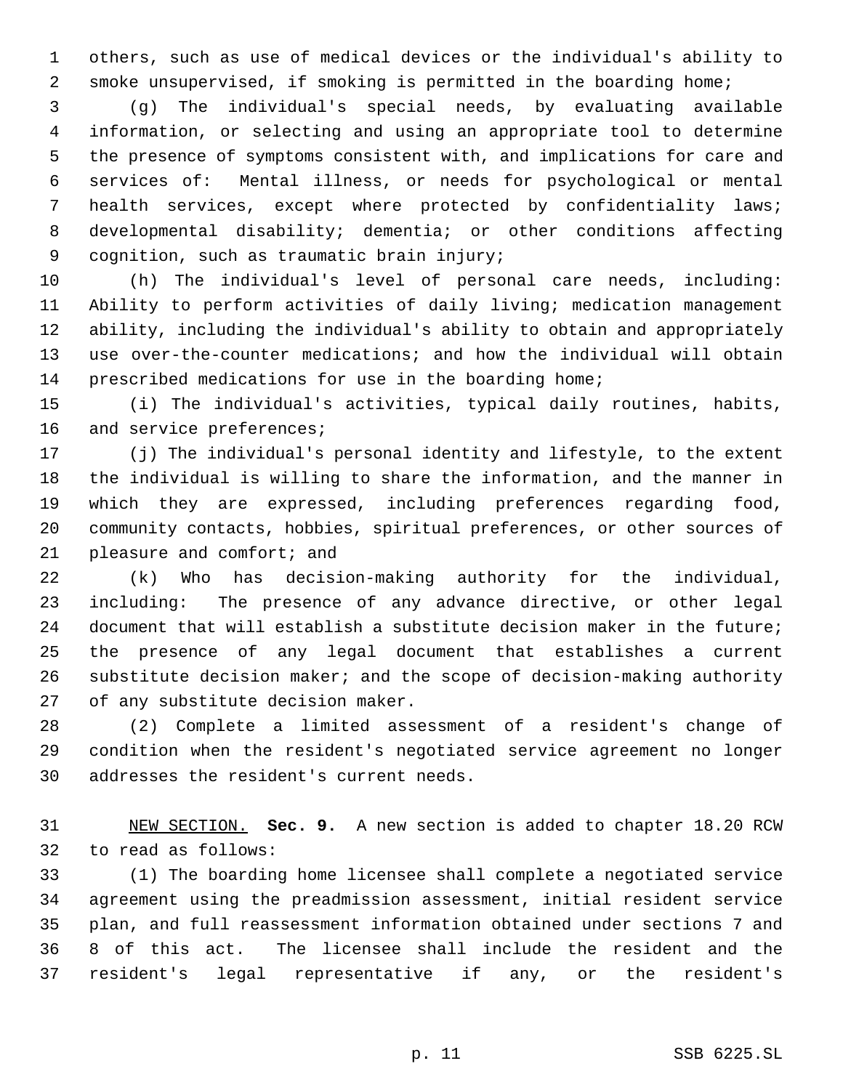others, such as use of medical devices or the individual's ability to smoke unsupervised, if smoking is permitted in the boarding home;

 (g) The individual's special needs, by evaluating available information, or selecting and using an appropriate tool to determine the presence of symptoms consistent with, and implications for care and services of: Mental illness, or needs for psychological or mental health services, except where protected by confidentiality laws; developmental disability; dementia; or other conditions affecting cognition, such as traumatic brain injury;

 (h) The individual's level of personal care needs, including: Ability to perform activities of daily living; medication management ability, including the individual's ability to obtain and appropriately use over-the-counter medications; and how the individual will obtain prescribed medications for use in the boarding home;

 (i) The individual's activities, typical daily routines, habits, 16 and service preferences;

 (j) The individual's personal identity and lifestyle, to the extent the individual is willing to share the information, and the manner in which they are expressed, including preferences regarding food, community contacts, hobbies, spiritual preferences, or other sources of pleasure and comfort; and

 (k) Who has decision-making authority for the individual, including: The presence of any advance directive, or other legal document that will establish a substitute decision maker in the future; the presence of any legal document that establishes a current substitute decision maker; and the scope of decision-making authority of any substitute decision maker.

 (2) Complete a limited assessment of a resident's change of condition when the resident's negotiated service agreement no longer addresses the resident's current needs.

 NEW SECTION. **Sec. 9.** A new section is added to chapter 18.20 RCW to read as follows:

 (1) The boarding home licensee shall complete a negotiated service agreement using the preadmission assessment, initial resident service plan, and full reassessment information obtained under sections 7 and 8 of this act. The licensee shall include the resident and the resident's legal representative if any, or the resident's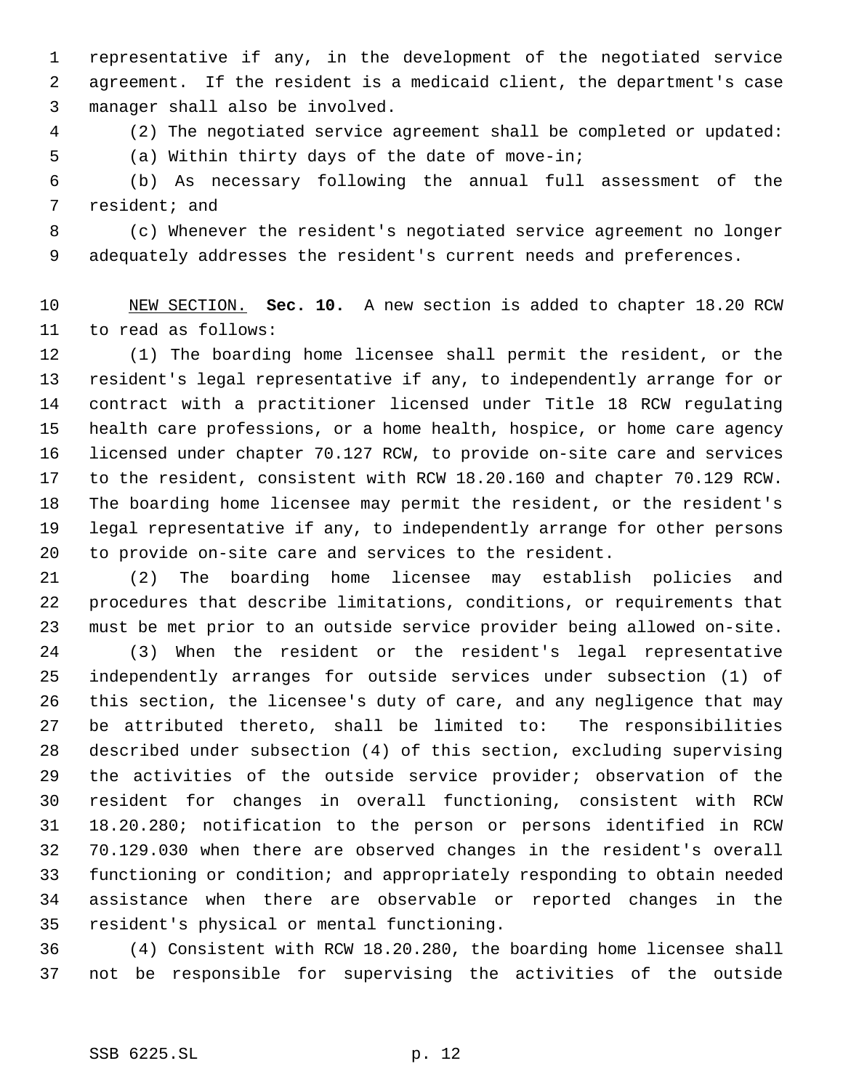representative if any, in the development of the negotiated service agreement. If the resident is a medicaid client, the department's case manager shall also be involved.

(2) The negotiated service agreement shall be completed or updated:

(a) Within thirty days of the date of move-in;

 (b) As necessary following the annual full assessment of the resident; and

 (c) Whenever the resident's negotiated service agreement no longer adequately addresses the resident's current needs and preferences.

 NEW SECTION. **Sec. 10.** A new section is added to chapter 18.20 RCW to read as follows:

 (1) The boarding home licensee shall permit the resident, or the resident's legal representative if any, to independently arrange for or contract with a practitioner licensed under Title 18 RCW regulating health care professions, or a home health, hospice, or home care agency licensed under chapter 70.127 RCW, to provide on-site care and services to the resident, consistent with RCW 18.20.160 and chapter 70.129 RCW. The boarding home licensee may permit the resident, or the resident's legal representative if any, to independently arrange for other persons to provide on-site care and services to the resident.

 (2) The boarding home licensee may establish policies and procedures that describe limitations, conditions, or requirements that must be met prior to an outside service provider being allowed on-site.

 (3) When the resident or the resident's legal representative independently arranges for outside services under subsection (1) of this section, the licensee's duty of care, and any negligence that may be attributed thereto, shall be limited to: The responsibilities described under subsection (4) of this section, excluding supervising the activities of the outside service provider; observation of the resident for changes in overall functioning, consistent with RCW 18.20.280; notification to the person or persons identified in RCW 70.129.030 when there are observed changes in the resident's overall functioning or condition; and appropriately responding to obtain needed assistance when there are observable or reported changes in the resident's physical or mental functioning.

 (4) Consistent with RCW 18.20.280, the boarding home licensee shall not be responsible for supervising the activities of the outside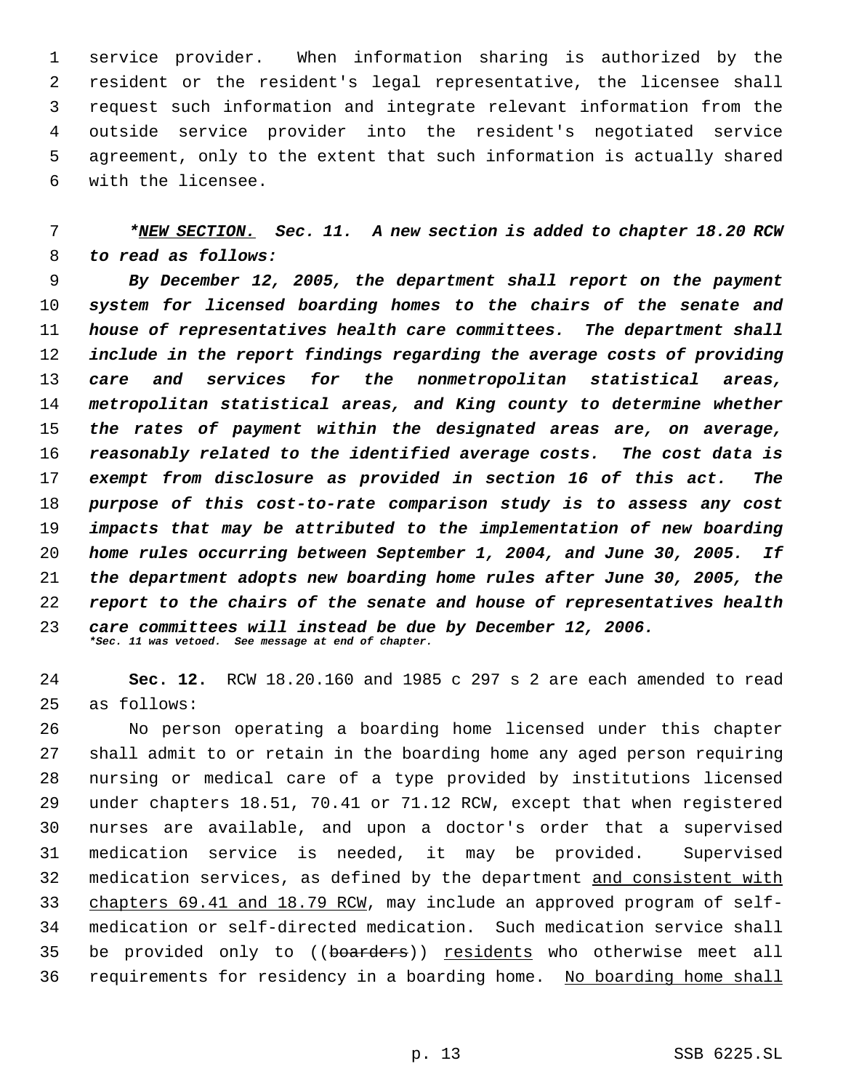service provider. When information sharing is authorized by the resident or the resident's legal representative, the licensee shall request such information and integrate relevant information from the outside service provider into the resident's negotiated service agreement, only to the extent that such information is actually shared with the licensee.

# *\*NEW SECTION. Sec. 11. A new section is added to chapter 18.20 RCW to read as follows:*

 *By December 12, 2005, the department shall report on the payment system for licensed boarding homes to the chairs of the senate and house of representatives health care committees. The department shall include in the report findings regarding the average costs of providing care and services for the nonmetropolitan statistical areas, metropolitan statistical areas, and King county to determine whether the rates of payment within the designated areas are, on average, reasonably related to the identified average costs. The cost data is exempt from disclosure as provided in section 16 of this act. The purpose of this cost-to-rate comparison study is to assess any cost impacts that may be attributed to the implementation of new boarding home rules occurring between September 1, 2004, and June 30, 2005. If the department adopts new boarding home rules after June 30, 2005, the report to the chairs of the senate and house of representatives health care committees will instead be due by December 12, 2006. \*Sec. 11 was vetoed. See message at end of chapter.*

 **Sec. 12.** RCW 18.20.160 and 1985 c 297 s 2 are each amended to read as follows:

 No person operating a boarding home licensed under this chapter shall admit to or retain in the boarding home any aged person requiring nursing or medical care of a type provided by institutions licensed under chapters 18.51, 70.41 or 71.12 RCW, except that when registered nurses are available, and upon a doctor's order that a supervised medication service is needed, it may be provided. Supervised medication services, as defined by the department and consistent with chapters 69.41 and 18.79 RCW, may include an approved program of self- medication or self-directed medication. Such medication service shall 35 be provided only to ((boarders)) residents who otherwise meet all requirements for residency in a boarding home. No boarding home shall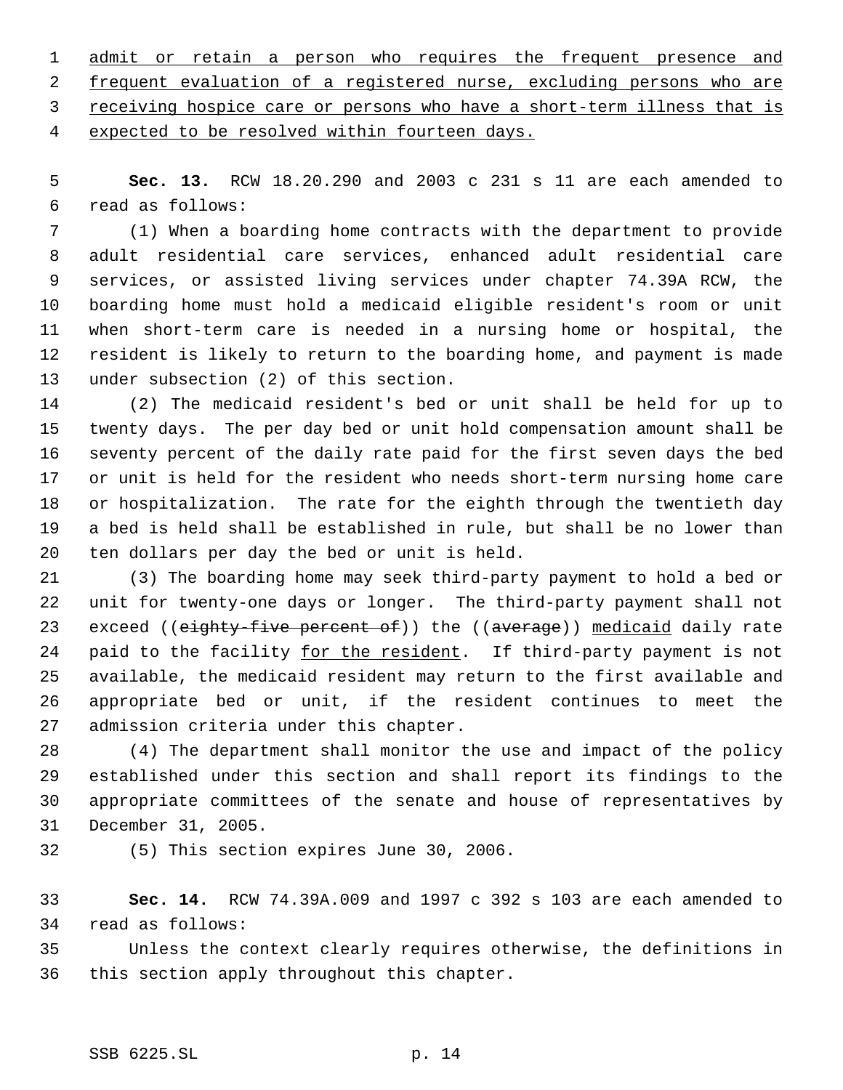1 admit or retain a person who requires the frequent presence and frequent evaluation of a registered nurse, excluding persons who are 3 receiving hospice care or persons who have a short-term illness that is 4 expected to be resolved within fourteen days.

 **Sec. 13.** RCW 18.20.290 and 2003 c 231 s 11 are each amended to read as follows:

 (1) When a boarding home contracts with the department to provide adult residential care services, enhanced adult residential care services, or assisted living services under chapter 74.39A RCW, the boarding home must hold a medicaid eligible resident's room or unit when short-term care is needed in a nursing home or hospital, the resident is likely to return to the boarding home, and payment is made under subsection (2) of this section.

 (2) The medicaid resident's bed or unit shall be held for up to twenty days. The per day bed or unit hold compensation amount shall be seventy percent of the daily rate paid for the first seven days the bed or unit is held for the resident who needs short-term nursing home care or hospitalization. The rate for the eighth through the twentieth day a bed is held shall be established in rule, but shall be no lower than ten dollars per day the bed or unit is held.

 (3) The boarding home may seek third-party payment to hold a bed or unit for twenty-one days or longer. The third-party payment shall not 23 exceed ((eighty-five percent of)) the ((average)) medicaid daily rate 24 paid to the facility for the resident. If third-party payment is not available, the medicaid resident may return to the first available and appropriate bed or unit, if the resident continues to meet the admission criteria under this chapter.

 (4) The department shall monitor the use and impact of the policy established under this section and shall report its findings to the appropriate committees of the senate and house of representatives by December 31, 2005.

(5) This section expires June 30, 2006.

 **Sec. 14.** RCW 74.39A.009 and 1997 c 392 s 103 are each amended to read as follows:

 Unless the context clearly requires otherwise, the definitions in this section apply throughout this chapter.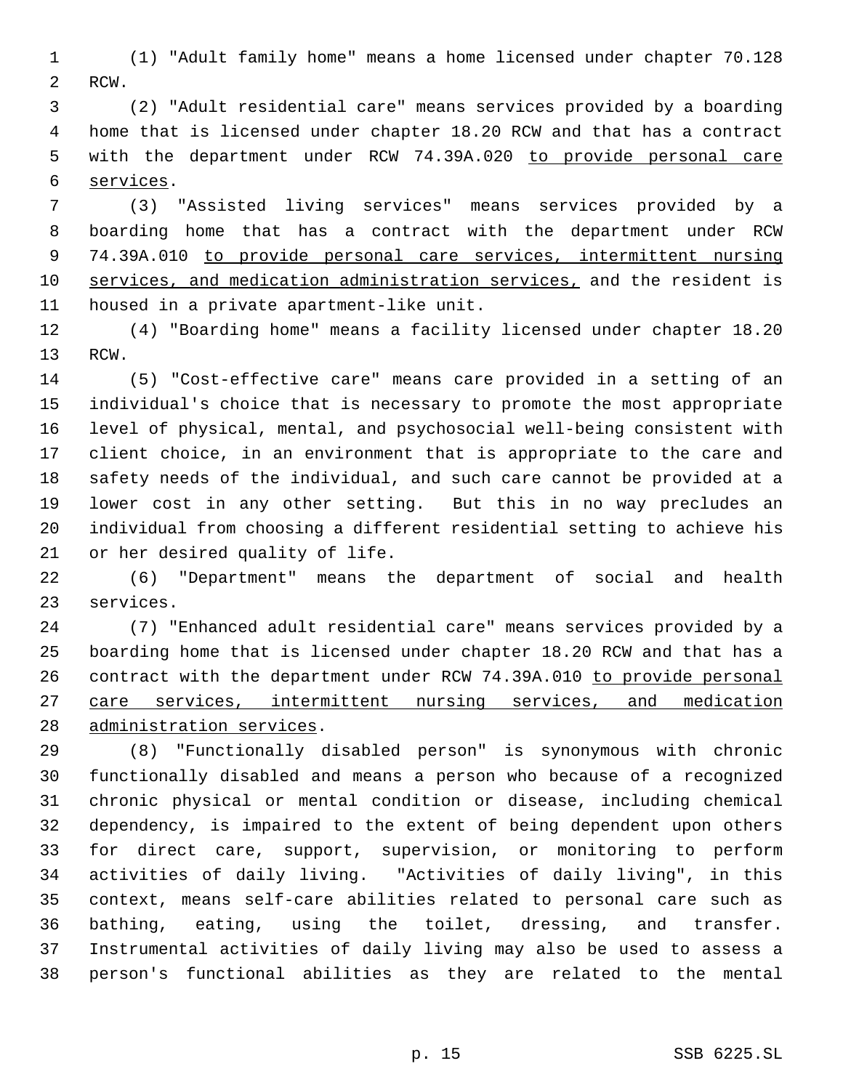(1) "Adult family home" means a home licensed under chapter 70.128 RCW.

 (2) "Adult residential care" means services provided by a boarding home that is licensed under chapter 18.20 RCW and that has a contract 5 with the department under RCW 74.39A.020 to provide personal care services.

 (3) "Assisted living services" means services provided by a boarding home that has a contract with the department under RCW 74.39A.010 to provide personal care services, intermittent nursing services, and medication administration services, and the resident is housed in a private apartment-like unit.

 (4) "Boarding home" means a facility licensed under chapter 18.20 RCW.

 (5) "Cost-effective care" means care provided in a setting of an individual's choice that is necessary to promote the most appropriate level of physical, mental, and psychosocial well-being consistent with client choice, in an environment that is appropriate to the care and safety needs of the individual, and such care cannot be provided at a lower cost in any other setting. But this in no way precludes an individual from choosing a different residential setting to achieve his or her desired quality of life.

 (6) "Department" means the department of social and health services.

 (7) "Enhanced adult residential care" means services provided by a boarding home that is licensed under chapter 18.20 RCW and that has a 26 contract with the department under RCW 74.39A.010 to provide personal 27 care services, intermittent nursing services, and medication administration services.

 (8) "Functionally disabled person" is synonymous with chronic functionally disabled and means a person who because of a recognized chronic physical or mental condition or disease, including chemical dependency, is impaired to the extent of being dependent upon others for direct care, support, supervision, or monitoring to perform activities of daily living. "Activities of daily living", in this context, means self-care abilities related to personal care such as bathing, eating, using the toilet, dressing, and transfer. Instrumental activities of daily living may also be used to assess a person's functional abilities as they are related to the mental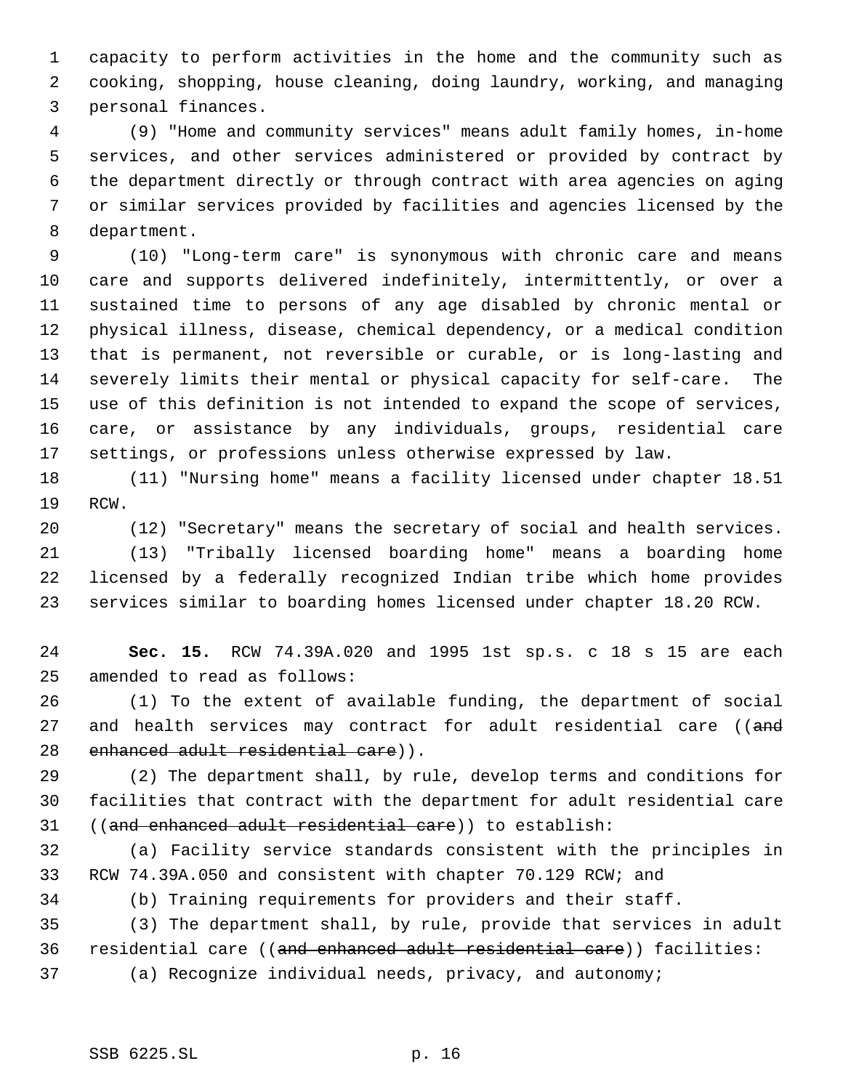capacity to perform activities in the home and the community such as cooking, shopping, house cleaning, doing laundry, working, and managing personal finances.

 (9) "Home and community services" means adult family homes, in-home services, and other services administered or provided by contract by the department directly or through contract with area agencies on aging or similar services provided by facilities and agencies licensed by the department.

 (10) "Long-term care" is synonymous with chronic care and means care and supports delivered indefinitely, intermittently, or over a sustained time to persons of any age disabled by chronic mental or physical illness, disease, chemical dependency, or a medical condition that is permanent, not reversible or curable, or is long-lasting and severely limits their mental or physical capacity for self-care. The use of this definition is not intended to expand the scope of services, care, or assistance by any individuals, groups, residential care settings, or professions unless otherwise expressed by law.

 (11) "Nursing home" means a facility licensed under chapter 18.51 RCW.

 (12) "Secretary" means the secretary of social and health services. (13) "Tribally licensed boarding home" means a boarding home licensed by a federally recognized Indian tribe which home provides services similar to boarding homes licensed under chapter 18.20 RCW.

 **Sec. 15.** RCW 74.39A.020 and 1995 1st sp.s. c 18 s 15 are each amended to read as follows:

 (1) To the extent of available funding, the department of social 27 and health services may contract for adult residential care ((and 28 enhanced adult residential care)).

 (2) The department shall, by rule, develop terms and conditions for facilities that contract with the department for adult residential care ((and enhanced adult residential care)) to establish:

 (a) Facility service standards consistent with the principles in RCW 74.39A.050 and consistent with chapter 70.129 RCW; and

(b) Training requirements for providers and their staff.

 (3) The department shall, by rule, provide that services in adult residential care ((and enhanced adult residential care)) facilities: (a) Recognize individual needs, privacy, and autonomy;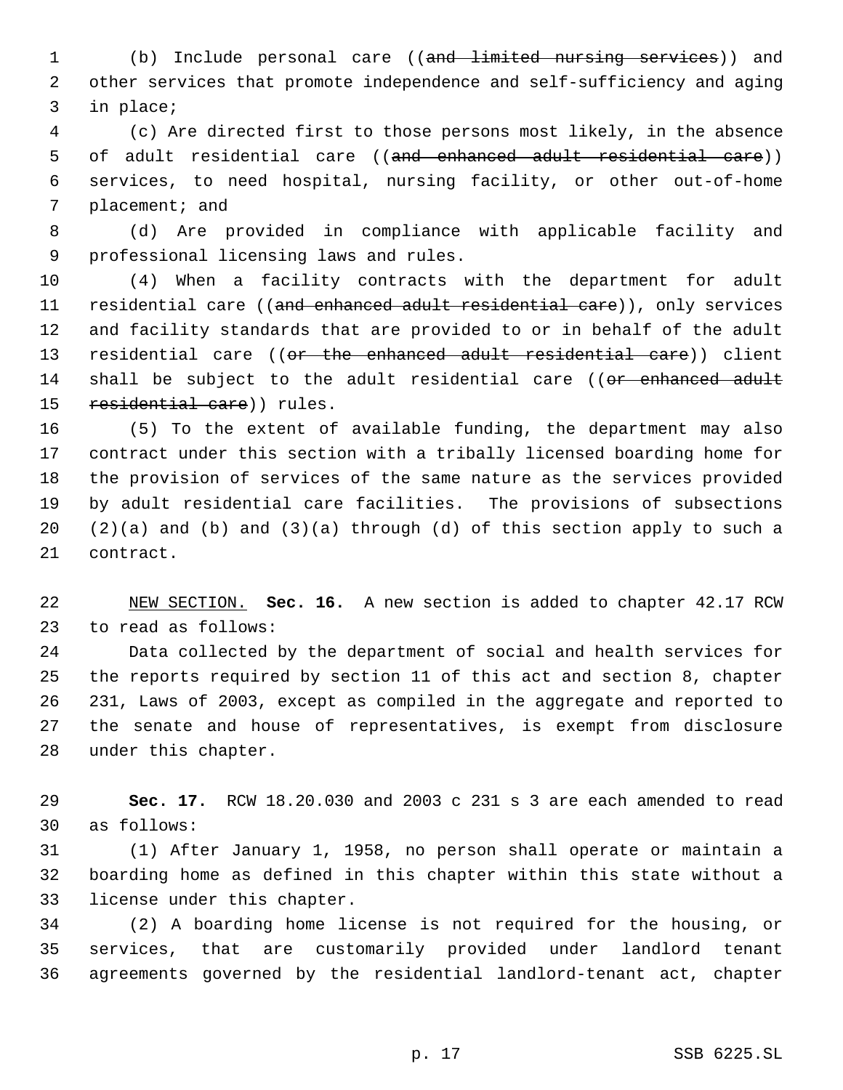(b) Include personal care ((and limited nursing services)) and other services that promote independence and self-sufficiency and aging in place;

 (c) Are directed first to those persons most likely, in the absence 5 of adult residential care ((and enhanced adult residential care)) services, to need hospital, nursing facility, or other out-of-home placement; and

 (d) Are provided in compliance with applicable facility and professional licensing laws and rules.

 (4) When a facility contracts with the department for adult 11 residential care ((and enhanced adult residential care)), only services and facility standards that are provided to or in behalf of the adult 13 residential care ((or the enhanced adult residential care)) client 14 shall be subject to the adult residential care ((or enhanced adult 15 residential care)) rules.

 (5) To the extent of available funding, the department may also contract under this section with a tribally licensed boarding home for the provision of services of the same nature as the services provided by adult residential care facilities. The provisions of subsections  $(2)(a)$  and  $(b)$  and  $(3)(a)$  through  $(d)$  of this section apply to such a contract.

 NEW SECTION. **Sec. 16.** A new section is added to chapter 42.17 RCW to read as follows:

 Data collected by the department of social and health services for the reports required by section 11 of this act and section 8, chapter 231, Laws of 2003, except as compiled in the aggregate and reported to the senate and house of representatives, is exempt from disclosure under this chapter.

 **Sec. 17.** RCW 18.20.030 and 2003 c 231 s 3 are each amended to read as follows:

 (1) After January 1, 1958, no person shall operate or maintain a boarding home as defined in this chapter within this state without a license under this chapter.

 (2) A boarding home license is not required for the housing, or services, that are customarily provided under landlord tenant agreements governed by the residential landlord-tenant act, chapter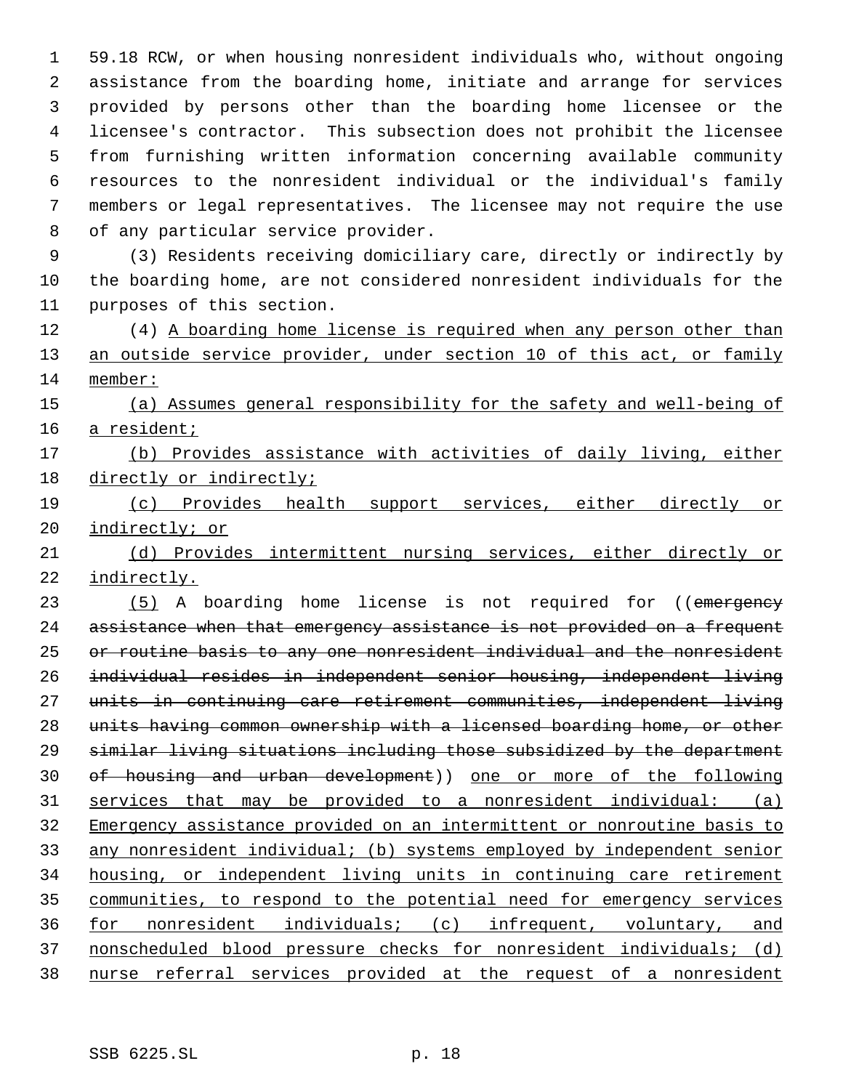59.18 RCW, or when housing nonresident individuals who, without ongoing assistance from the boarding home, initiate and arrange for services provided by persons other than the boarding home licensee or the licensee's contractor. This subsection does not prohibit the licensee from furnishing written information concerning available community resources to the nonresident individual or the individual's family members or legal representatives. The licensee may not require the use of any particular service provider.

 (3) Residents receiving domiciliary care, directly or indirectly by the boarding home, are not considered nonresident individuals for the purposes of this section.

12 (4) A boarding home license is required when any person other than 13 an outside service provider, under section 10 of this act, or family member:

 (a) Assumes general responsibility for the safety and well-being of a resident;

# (b) Provides assistance with activities of daily living, either directly or indirectly;

 (c) Provides health support services, either directly or indirectly; or

 (d) Provides intermittent nursing services, either directly or indirectly.

23 (5) A boarding home license is not required for ((emergency 24 assistance when that emergency assistance is not provided on a frequent or routine basis to any one nonresident individual and the nonresident individual resides in independent senior housing, independent living units in continuing care retirement communities, independent living units having common ownership with a licensed boarding home, or other similar living situations including those subsidized by the department of housing and urban development)) one or more of the following services that may be provided to a nonresident individual: (a) Emergency assistance provided on an intermittent or nonroutine basis to any nonresident individual; (b) systems employed by independent senior housing, or independent living units in continuing care retirement communities, to respond to the potential need for emergency services for nonresident individuals; (c) infrequent, voluntary, and nonscheduled blood pressure checks for nonresident individuals; (d) nurse referral services provided at the request of a nonresident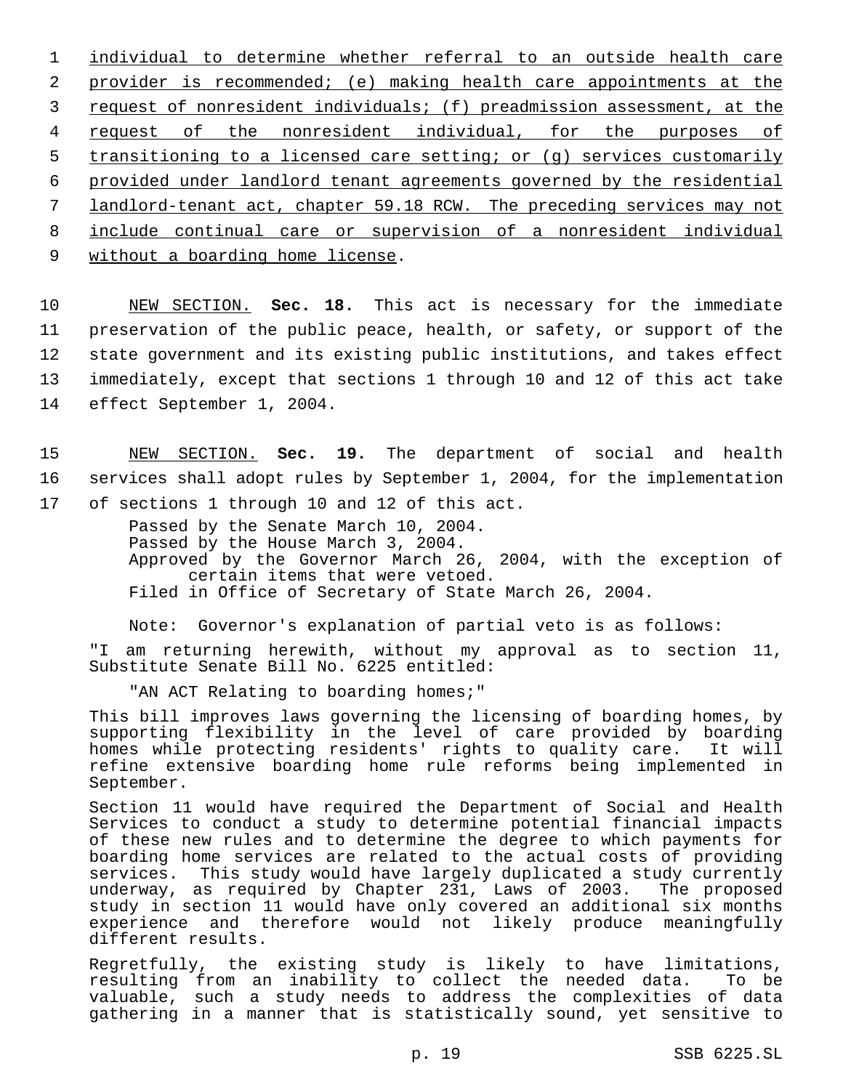individual to determine whether referral to an outside health care provider is recommended; (e) making health care appointments at the request of nonresident individuals; (f) preadmission assessment, at the request of the nonresident individual, for the purposes of transitioning to a licensed care setting; or (g) services customarily provided under landlord tenant agreements governed by the residential landlord-tenant act, chapter 59.18 RCW. The preceding services may not include continual care or supervision of a nonresident individual 9 without a boarding home license.

 NEW SECTION. **Sec. 18.** This act is necessary for the immediate preservation of the public peace, health, or safety, or support of the state government and its existing public institutions, and takes effect immediately, except that sections 1 through 10 and 12 of this act take effect September 1, 2004.

15 NEW SECTION. **Sec. 19.** The department of social and health 16 services shall adopt rules by September 1, 2004, for the implementation 17 of sections 1 through 10 and 12 of this act.

Passed by the Senate March 10, 2004. Passed by the House March 3, 2004. Approved by the Governor March 26, 2004, with the exception of certain items that were vetoed. Filed in Office of Secretary of State March 26, 2004.

Note: Governor's explanation of partial veto is as follows:

"I am returning herewith, without my approval as to section 11, Substitute Senate Bill No. 6225 entitled:

"AN ACT Relating to boarding homes;"

This bill improves laws governing the licensing of boarding homes, by supporting flexibility in the level of care provided by boarding homes while protecting residents' rights to quality care. It will refine extensive boarding home rule reforms being implemented in September.

Section 11 would have required the Department of Social and Health Services to conduct a study to determine potential financial impacts of these new rules and to determine the degree to which payments for boarding home services are related to the actual costs of providing services. This study would have largely duplicated a study currently underway, as required by Chapter 231, Laws of 2003. The proposed study in section 11 would have only covered an additional six months experience and therefore would not likely produce meaningfully different results.

Regretfully, the existing study is likely to have limitations, resulting from an inability to collect the needed data. To be valuable, such a study needs to address the complexities of data gathering in a manner that is statistically sound, yet sensitive to